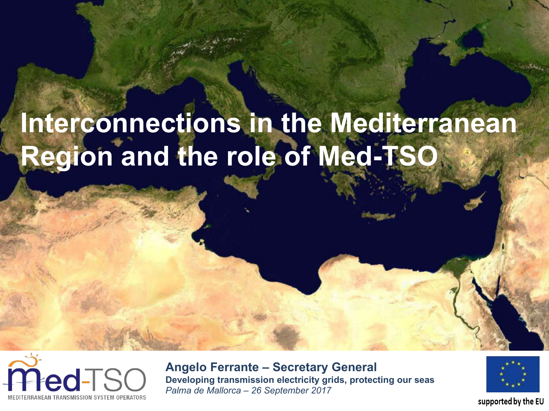# **Interconnections in the Mediterranean Region and the role of Med-TSO**



**Angelo Ferrante – Secretary General Developing transmission electricity grids, protecting our seas** *Palma de Mallorca – 26 September 2017*



#### supported by the EU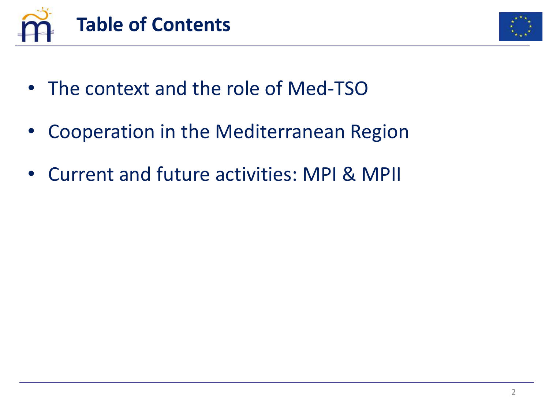



- The context and the role of Med-TSO
- Cooperation in the Mediterranean Region
- Current and future activities: MPI & MPII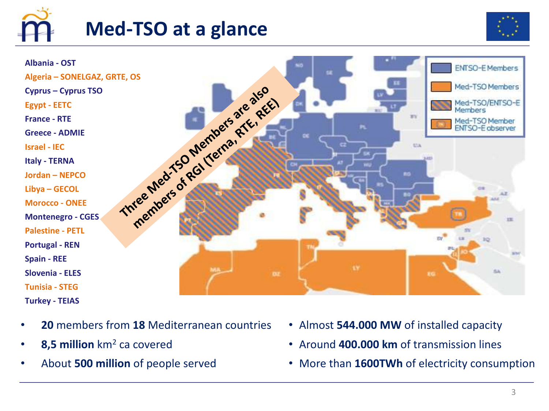

## **Med-TSO** at a glance





- **20** members from **18** Mediterranean countries
- **8,5 million** km2 ca covered
- About **500 million** of people served
- Almost **544.000 MW** of installed capacity
- Around **400.000 km** of transmission lines
- More than **1600TWh** of electricity consumption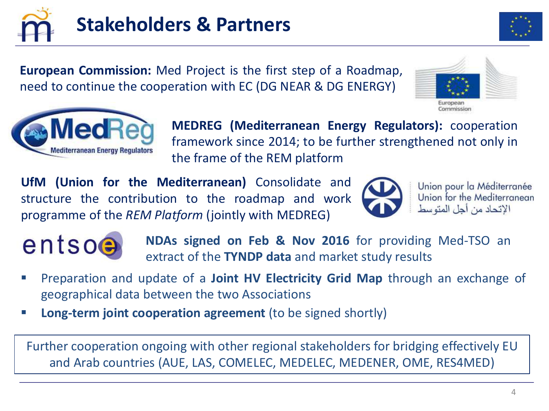

**European Commission:** Med Project is the first step of a Roadmap, need to continue the cooperation with EC (DG NEAR & DG ENERGY)





**MEDREG (Mediterranean Energy Regulators):** cooperation framework since 2014; to be further strengthened not only in the frame of the REM platform

**UfM (Union for the Mediterranean)** Consolidate and structure the contribution to the roadmap and work programme of the *REM Platform* (jointly with MEDREG)



Union pour la Méditerranée Union for the Mediterranean الإتحاد من أجل المتو سط



**NDAs signed on Feb & Nov 2016** for providing Med-TSO an extract of the **TYNDP data** and market study results

- § Preparation and update of a **Joint HV Electricity Grid Map** through an exchange of geographical data between the two Associations
- § **Long-term joint cooperation agreement** (to be signed shortly)

Further cooperation ongoing with other regional stakeholders for bridging effectively EU and Arab countries (AUE, LAS, COMELEC, MEDELEC, MEDENER, OME, RES4MED)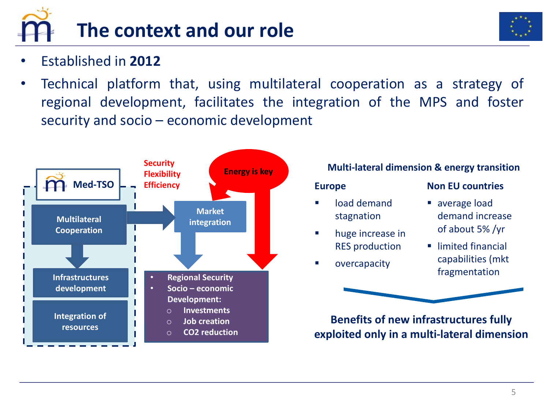

- Established in **2012**
- Technical platform that, using multilateral cooperation as a strategy of regional development, facilitates the integration of the MPS and foster security and socio – economic development



#### **Multi-lateral dimension & energy transition**

#### **Europe**

- load demand stagnation
- huge increase in **RES** production
- § overcapacity

#### **Non EU countries**

- average load demand increase of about 5% /yr
- limited financial capabilities (mkt fragmentation

**Benefits of new infrastructures fully exploited only in a multi-lateral dimension**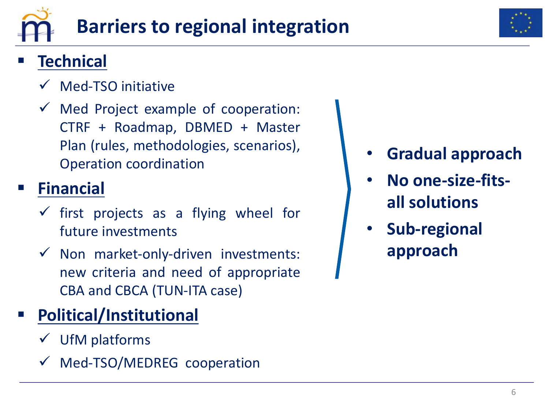



## § **Technical**

- $\checkmark$  Med-TSO initiative
- $\checkmark$  Med Project example of cooperation: CTRF + Roadmap, DBMED + Master Plan (rules, methodologies, scenarios), Operation coordination

## § **Financial**

- $\checkmark$  first projects as a flying wheel for future investments
- $\checkmark$  Non market-only-driven investments: new criteria and need of appropriate CBA and CBCA (TUN-ITA case)

# § **Political/Institutional**

- $\checkmark$  UfM platforms
- $\nu$  Med-TSO/MEDREG cooperation
- **Gradual approach**
- **No one-size-fitsall solutions**
- Sub-regional **approach**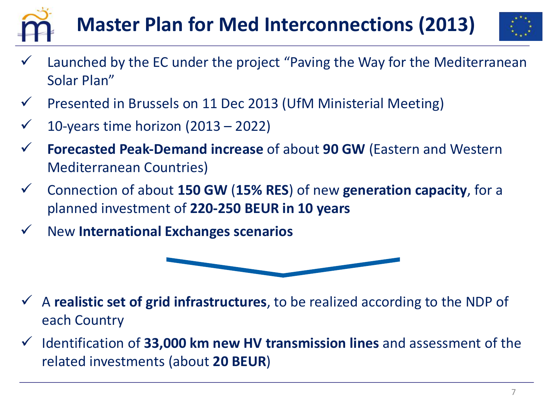



- Launched by the EC under the project "Paving the Way for the Mediterranean Solar Plan"
- $\checkmark$  Presented in Brussels on 11 Dec 2013 (UfM Ministerial Meeting)
- $\checkmark$  10-years time horizon (2013 2022)
- Forecasted Peak-Demand increase of about 90 GW (Eastern and Western Mediterranean Countries)
- ü Connection of about **150 GW** (**15% RES**) of new **generation capacity**, for a planned investment of **220-250 BEUR in 10 years**
- ü New **International Exchanges scenarios**



- $\checkmark$  A **realistic set of grid infrastructures**, to be realized according to the NDP of each Country
- v Identification of 33,000 km new HV transmission lines and assessment of the related investments (about **20 BEUR**)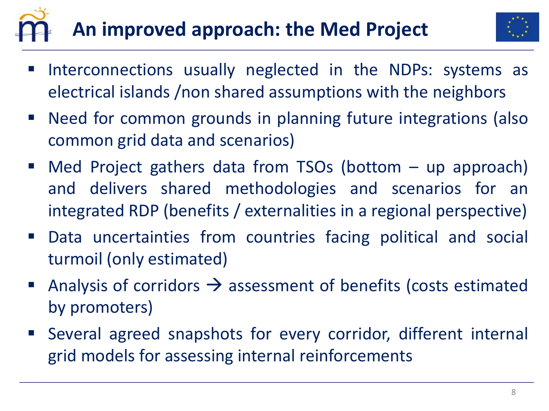# **An improved approach: the Med Project**



- Interconnections usually neglected in the NDPs: systems as electrical islands /non shared assumptions with the neighbors
- Need for common grounds in planning future integrations (also common grid data and scenarios)
- Med Project gathers data from TSOs (bottom  $-$  up approach) and delivers shared methodologies and scenarios for an integrated RDP (benefits / externalities in a regional perspective)
- Data uncertainties from countries facing political and social turmoil (only estimated)
- Analysis of corridors  $\rightarrow$  assessment of benefits (costs estimated by promoters)
- Several agreed snapshots for every corridor, different internal grid models for assessing internal reinforcements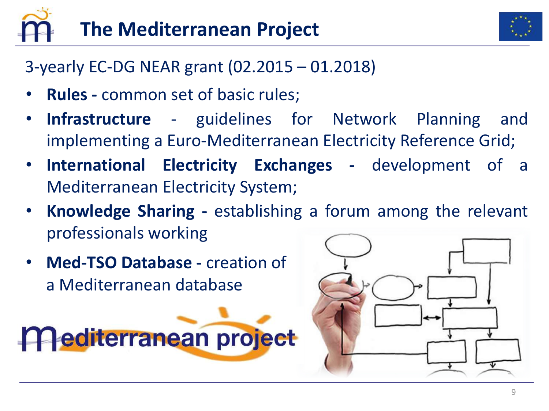



3-yearly EC-DG NEAR grant (02.2015 – 01.2018)

- **Rules -** common set of basic rules;
- **Infrastructure** guidelines for Network Planning and implementing a Euro-Mediterranean Electricity Reference Grid;
- **International Electricity Exchanges -** development of a Mediterranean Electricity System;
- **Knowledge Sharing -** establishing a forum among the relevant professionals working
- **Med-TSO Database creation of** a Mediterranean database

**Mediterranean project** 

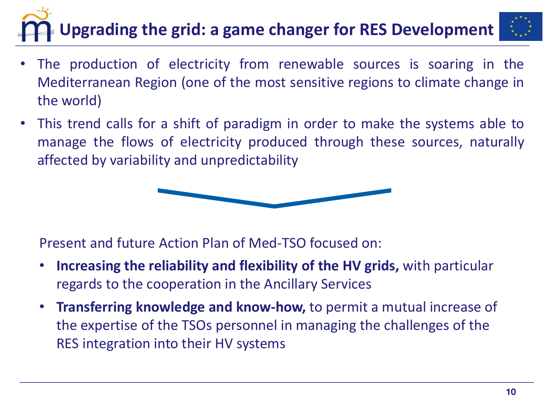# **Upgrading the grid: a game changer for RES Development**



- The production of electricity from renewable sources is soaring in the Mediterranean Region (one of the most sensitive regions to climate change in the world)
- This trend calls for a shift of paradigm in order to make the systems able to manage the flows of electricity produced through these sources, naturally affected by variability and unpredictability



Present and future Action Plan of Med-TSO focused on:

- Increasing the reliability and flexibility of the HV grids, with particular regards to the cooperation in the Ancillary Services
- Transferring knowledge and know-how, to permit a mutual increase of the expertise of the TSOs personnel in managing the challenges of the RES integration into their HV systems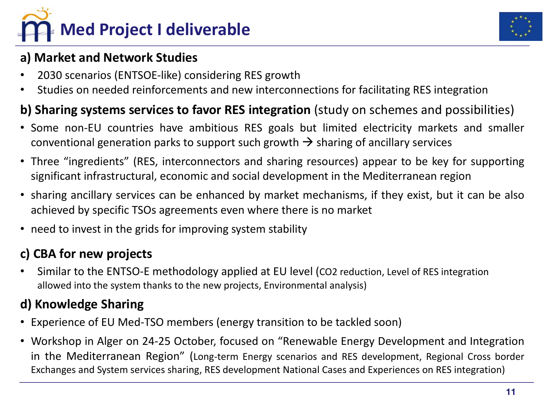



#### **a) Market and Network Studies**

- 2030 scenarios (ENTSOE-like) considering RES growth
- Studies on needed reinforcements and new interconnections for facilitating RES integration

#### **b) Sharing systems services to favor RES integration** (study on schemes and possibilities)

- Some non-EU countries have ambitious RES goals but limited electricity markets and smaller conventional generation parks to support such growth  $\rightarrow$  sharing of ancillary services
- Three "ingredients" (RES, interconnectors and sharing resources) appear to be key for supporting significant infrastructural, economic and social development in the Mediterranean region
- sharing ancillary services can be enhanced by market mechanisms, if they exist, but it can be also achieved by specific TSOs agreements even where there is no market
- need to invest in the grids for improving system stability

#### **c) CBA for new projects**

Similar to the ENTSO-E methodology applied at EU level (CO2 reduction, Level of RES integration allowed into the system thanks to the new projects, Environmental analysis)

#### **d) Knowledge Sharing**

- Experience of EU Med-TSO members (energy transition to be tackled soon)
- Workshop in Alger on 24-25 October, focused on "Renewable Energy Development and Integration in the Mediterranean Region" (Long-term Energy scenarios and RES development, Regional Cross border Exchanges and System services sharing, RES development National Cases and Experiences on RES integration)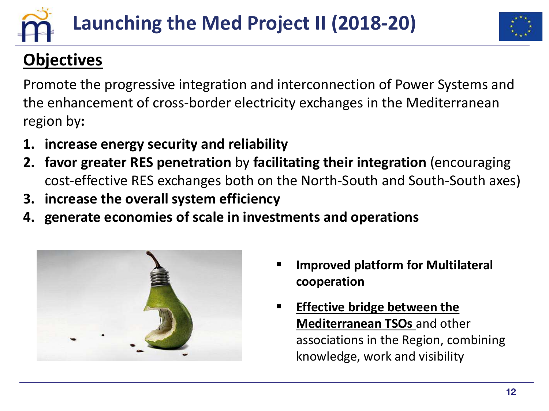



## **Objectives**

Promote the progressive integration and interconnection of Power Systems and the enhancement of cross-border electricity exchanges in the Mediterranean region by**:**

- **1. increase energy security and reliability**
- **2. favor greater RES penetration** by **facilitating their integration** (encouraging cost-effective RES exchanges both on the North-South and South-South axes)
- **3. increase the overall system efficiency**
- **4.** generate economies of scale in investments and operations



- **Improved platform for Multilateral cooperation**
- **Effective bridge between the Mediterranean TSOs** and other associations in the Region, combining knowledge, work and visibility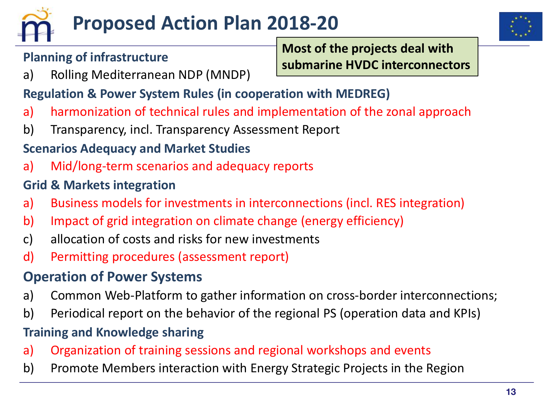



#### **Planning of infrastructure**

**Most of the projects deal with submarine HVDC interconnectors**

a) Rolling Mediterranean NDP (MNDP)

#### **Regulation & Power System Rules (in cooperation with MEDREG)**

- a) harmonization of technical rules and implementation of the zonal approach
- b) Transparency, incl. Transparency Assessment Report

#### **Scenarios Adequacy and Market Studies**

a) Mid/long-term scenarios and adequacy reports

#### **Grid & Markets integration**

- a) Business models for investments in interconnections (incl. RES integration)
- b) Impact of grid integration on climate change (energy efficiency)
- c) allocation of costs and risks for new investments
- d) Permitting procedures (assessment report)

#### **Operation of Power Systems**

- a) Common Web-Platform to gather information on cross-border interconnections;
- b) Periodical report on the behavior of the regional PS (operation data and KPIs)

#### **Training and Knowledge sharing**

- a) Organization of training sessions and regional workshops and events
- b) Promote Members interaction with Energy Strategic Projects in the Region